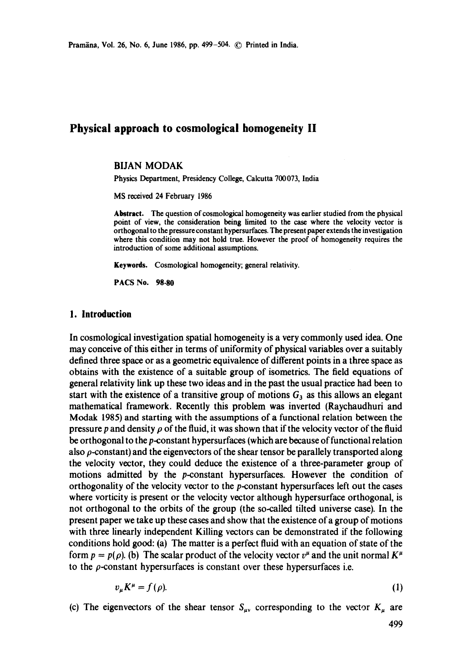# **Physical approach to cosmological homogeneity II**

### BIJAN MODAK

Physics Department, Presidency College, Calcutta 700073, India

MS received 24 February 1986

**Abstract.** The question of cosmological homogeneity was earlier studied from the physical point of view, the consideration being limited to the case where the velocity vector is orthogonal to the pressureconstant hypcrsurfaccs. The present paper extends the investigation where this condition may not hold true. However the proof of homogeneity requires the introduction of some additional assumptions.

**Keywords.** Cosmological homogeneity; general relativity.

PACS No. 98.80

#### **1. Introduction**

In cosmological investigation spatial homogeneity is a very commonly used idea. One may conceive of this either in terms of uniformity of physical variables over a suitably defined three space or as a geometric equivalence of different points in a three space as obtains with the existence of a suitable group of isometrics. The field equations of general relativity link up these two ideas and in the past the usual practice had been to start with the existence of a transitive group of motions  $G_3$  as this allows an elegant mathematical framework. Recently this problem was inverted (Raychaudhuri and Modak 1985) and starting with the assumptions of a functional relation between the pressure p and density  $\rho$  of the fluid, it was shown that if the velocity vector of the fluid be orthogonal to the p-constant hypersurfaces (which are because of functional relation also  $\rho$ -constant) and the eigenvectors of the shear tensor be parallely transported along the velocity vector, they could deduce the existence of a three-parameter group of motions admitted by the p-constant hypersurfaces. However the condition of orthogonality of the velocity vector to the  $p$ -constant hypersurfaces left out the cases where vorticity is present or the velocity vector although hypersurface orthogonal, is not orthogonal to the orbits of the group (the so-called tilted universe case). In the present paper we take up these cases and show that the existence of a group of motions with three linearly independent Killing vectors can be demonstrated if the following conditions hold good: (a) The matter is a perfect fluid with an equation of state of the form  $p = p(\rho)$ . (b) The scalar product of the velocity vector  $v^{\mu}$  and the unit normal  $K^{\mu}$ to the  $\rho$ -constant hypersurfaces is constant over these hypersurfaces i.e.

$$
v_{\mu}K^{\mu} = f(\rho). \tag{1}
$$

(c) The eigenvectors of the shear tensor  $S_{\mu\nu}$  corresponding to the vector  $K_{\mu}$  are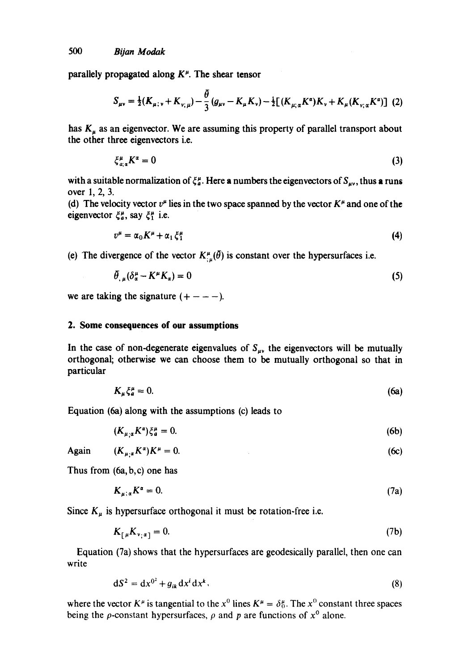parallely propagated along  $K^{\mu}$ . The shear tensor

$$
S_{\mu\nu} = \frac{1}{2}(K_{\mu;\nu} + K_{\nu;\mu}) - \frac{\bar{\theta}}{3}(g_{\mu\nu} - K_{\mu}K_{\nu}) - \frac{1}{2}[(K_{\mu;\alpha}K^{\alpha})K_{\nu} + K_{\mu}(K_{\nu;\alpha}K^{\alpha})] (2)
$$

has  $K_{\mu}$  as an eigenvector. We are assuming this property of parallel transport about the other three eigenvectors i.e.

$$
\xi_{a;\,a}^{\mu}K^{a}=0\tag{3}
$$

with a suitable normalization of  $\xi_a^{\mu}$ . Here a numbers the eigenvectors of  $S_{\mu\nu}$ , thus a runs over 1, 2, 3.

(d) The velocity vector  $v^{\mu}$  lies in the two space spanned by the vector  $K^{\mu}$  and one of the eigenvector  $\xi_a^{\mu}$ , say  $\xi_1^{\mu}$  i.e.

$$
v^{\mu} = \alpha_0 K^{\mu} + \alpha_1 \xi_1^{\mu} \tag{4}
$$

(e) The divergence of the vector  $K^{\mu}_{\mu}(\bar{\theta})$  is constant over the hypersurfaces i.e.

$$
\theta_{,\mu}(\delta_{\alpha}^{\mu} - K^{\mu}K_{\alpha}) = 0 \tag{5}
$$

we are taking the signature  $(+ - - -)$ .

# **2. Some consequences of our assumptions**

In the case of non-degenerate eigenvalues of  $S_{\mu\nu}$  the eigenvectors will be mutually orthogonal; otherwise we can choose them to be mutually orthogonal so that in particular

$$
K_{\mu}\xi_{a}^{\mu}=0.\tag{6a}
$$

Equation (6a) along with the assumptions (c) leads to

$$
(K_{\mu,\alpha}K^{\alpha})\zeta_{a}^{\mu}=0.\tag{6b}
$$

$$
Again \t(K_{\mu,\alpha}K^{\alpha})K^{\mu}=0. \t(6c)
$$

Thus from (6a, b, c) one has

$$
K_{\mu;\,\alpha}K^{\alpha}=0.\tag{7a}
$$

Since  $K_{\mu}$  is hypersurface orthogonal it must be rotation-free i.e.

$$
K_{\lceil \mu} K_{\nu, \alpha \rceil} = 0. \tag{7b}
$$

Equation (7a) shows that the hypersurfaces are geodesically parallel, then one can write

$$
dS^2 = dx^{0^2} + g_{ik} dx^i dx^k, \qquad (8)
$$

where the vector  $K^{\mu}$  is tangential to the  $x^{0}$  lines  $K^{\mu} = \delta_{0}^{\mu}$ . The  $x^{0}$  constant three spaces being the  $\rho$ -constant hypersurfaces,  $\rho$  and  $p$  are functions of  $x^0$  alone.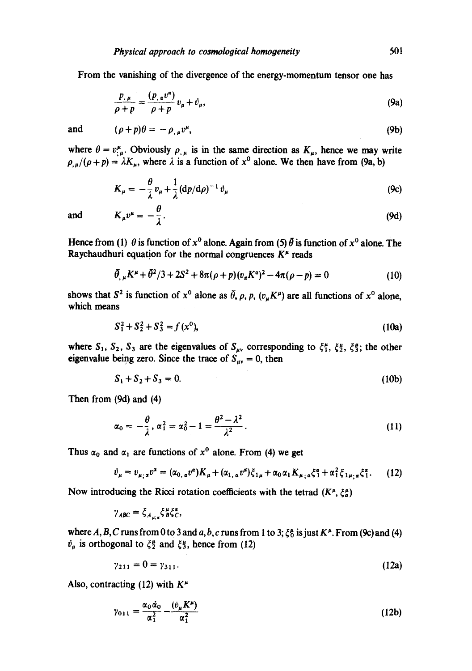From the vanishing of the divergence of the energy-momentum tensor one has

$$
\frac{p_{,\mu}}{\rho+p} = \frac{(p_{,\alpha}v^{\alpha})}{\rho+p}v_{\mu} + \dot{v}_{\mu},\tag{9a}
$$

and  $(\rho + p)\theta = -\rho_{, \mu}v^{\mu},$  (9b)

where  $\theta = v_{;\mu}^{\mu}$ . Obviously  $\rho_{,\mu}$  is in the same direction as  $K_{\mu}$ , hence we may write  $\rho_{,\mu}/(\rho+p) = \lambda K_{\mu}$ , where  $\lambda$  is a function of  $x^0$  alone. We then have from (9a, b)

$$
K_{\mu} = -\frac{\theta}{\lambda}v_{\mu} + \frac{1}{\lambda}(dp/d\rho)^{-1}v_{\mu}
$$
 (9c)

and  $K_{\mu}v^{\mu} = -\frac{\theta}{2}$ . (9d)

Hence from (1)  $\theta$  is function of  $x^0$  alone. Again from (5)  $\ddot{\theta}$  is function of  $x^0$  alone. The Raychaudhuri equation for the normal congruences  $K^{\mu}$  reads

$$
\bar{\theta}_{,\mu}K^{\mu} + \bar{\theta}^2/3 + 2S^2 + 8\pi(\rho + p)(v_{\alpha}K^{\alpha})^2 - 4\pi(\rho - p) = 0 \qquad (10)
$$

shows that  $S^2$  is function of  $x^0$  alone as  $\tilde{\theta}$ ,  $\rho$ ,  $p$ ,  $(v_u K^{\mu})$  are all functions of  $x^0$  alone, which means

$$
S_1^2 + S_2^2 + S_3^2 = f(x^0),
$$
 (10a)

where  $S_1$ ,  $S_2$ ,  $S_3$  are the eigenvalues of  $S_{\mu\nu}$  corresponding to  $\xi_1^{\mu}$ ,  $\xi_2^{\mu}$ ,  $\xi_3^{\mu}$ ; the other eigenvalue being zero. Since the trace of  $S_{uv} = 0$ , then

$$
S_1 + S_2 + S_3 = 0. \tag{10b}
$$

Then from (9d) and (4)

$$
\alpha_0=-\frac{\theta}{\lambda}, \alpha_1^2=\alpha_0^2-1=\frac{\theta^2-\lambda^2}{\lambda^2}.
$$
\n(11)

Thus  $\alpha_0$  and  $\alpha_1$  are functions of  $x^0$  alone. From (4) we get

$$
\dot{v}_{\mu} = v_{\mu;\,\alpha}v^{\alpha} = (\alpha_{0,\,\alpha}v^{\alpha})K_{\mu} + (\alpha_{1,\,\alpha}v^{\alpha})\xi_{1\mu} + \alpha_{0}\alpha_{1}K_{\mu;\,\alpha}\xi_{1}^{\alpha} + \alpha_{1}^{2}\xi_{1\mu;\,\alpha}\xi_{1}^{\alpha}.
$$
 (12)

Now introducing the Ricci rotation coefficients with the tetrad  $(K^{\mu}, \xi^{\mu})$ 

$$
\gamma_{ABC} = \xi_{A_{\mu;\alpha}} \xi_B^{\mu} \xi_C^{\alpha},
$$

where A, B, C runs from 0 to 3 and a, b, c runs from 1 to 3;  $\xi_0^{\mu}$  is just  $K^{\mu}$ . From (9c) and (4)  $\dot{v}_{\mu}$  is orthogonal to  $\xi_2^{\mu}$  and  $\xi_3^{\mu}$ , hence from (12)

$$
\gamma_{211} = 0 = \gamma_{311}.\tag{12a}
$$

Also, contracting (12) with  $K^{\mu}$ 

$$
\gamma_{011} = \frac{\alpha_0 \dot{\alpha}_0}{\alpha_1^2} - \frac{(\dot{v}_{\mu} K^{\mu})}{\alpha_1^2}
$$
 (12b)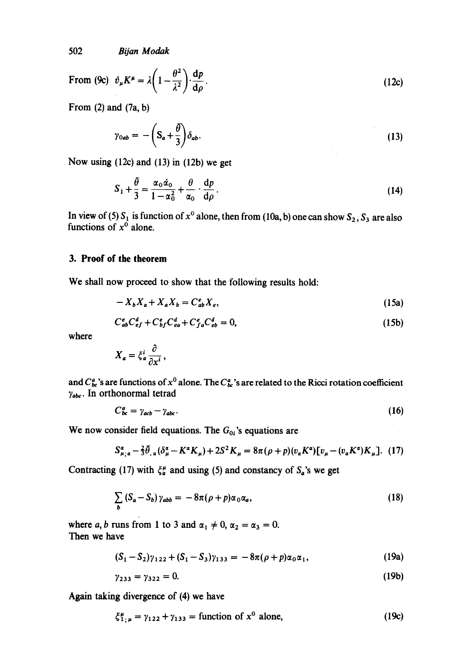502 *Bijan Modak* 

From (9c) 
$$
\dot{v}_{\mu}K^{\mu} = \lambda \left(1 - \frac{\theta^2}{\lambda^2}\right) \frac{dp}{d\rho}
$$
. (12c)

From  $(2)$  and  $(7a, b)$ 

$$
\gamma_{0ab} = -\left(S_a + \frac{\theta}{3}\right)\delta_{ab}.\tag{13}
$$

Now using (12c) and (13) in (12b) we get

$$
S_1 + \frac{\theta}{3} = \frac{\alpha_0 \dot{\alpha}_0}{1 - \alpha_0^2} + \frac{\theta}{\alpha_0} \cdot \frac{\mathrm{d}p}{\mathrm{d}\rho} \,. \tag{14}
$$

In view of (5)  $S_1$  is function of  $x^{\circ}$  alone, then from (10a, b) one can show  $S_2$ ,  $S_3$  are also functions of  $x^0$  alone.

# **3. Proof of the theorem**

We shall now proceed to show that the following results hold:

$$
-X_b X_a + X_a X_b = C_{ab}^e X_e, \qquad (15a)
$$

$$
C_{ab}^e C_{ef}^d + C_{bf}^e C_{ea}^d + C_{fa}^e C_{eb}^d = 0,
$$
\n(15b)

where

$$
X_a = \xi_a^i \frac{\partial}{\partial x^i},
$$

and  $C^a_{bc}$ 's are functions of  $x^0$  alone. The  $C^a_{bc}$ 's are related to the Ricci rotation coefficient  $\gamma_{abc}$ . In orthonormal tetrad

$$
C_{bc}^a = \gamma_{acb} - \gamma_{abc}.\tag{16}
$$

We now consider field equations. The  $G_{0i}$ 's equations are

$$
S_{\mu;\alpha}^{\alpha} - \frac{2}{3}\bar{\theta}_{,\alpha}(\delta_{\mu}^{\alpha} - K^{\alpha}K_{\mu}) + 2S^{2}K_{\mu} = 8\pi(\rho + p)(v_{\alpha}K^{\alpha})[v_{\mu} - (v_{\alpha}K^{\alpha})K_{\mu}].
$$
 (17)

Contracting (17) with  $\xi_a^{\mu}$  and using (5) and constancy of  $S_a$ 's we get

$$
\sum_{b} \left( S_a - S_b \right) \gamma_{abb} = -8\pi (\rho + p) \alpha_0 \alpha_a, \tag{18}
$$

where a, b runs from 1 to 3 and  $\alpha_1 \neq 0$ ,  $\alpha_2 = \alpha_3 = 0$ . Then we have

$$
(S_1 - S_2)\gamma_{122} + (S_1 - S_3)\gamma_{133} = -8\pi(\rho + p)\alpha_0\alpha_1, \qquad (19a)
$$

$$
\gamma_{233} = \gamma_{322} = 0. \tag{19b}
$$

Again taking divergence of (4) we have

$$
\xi_{1;\mu}^{\mu} = \gamma_{122} + \gamma_{133} = \text{function of } x^0 \text{ alone}, \tag{19c}
$$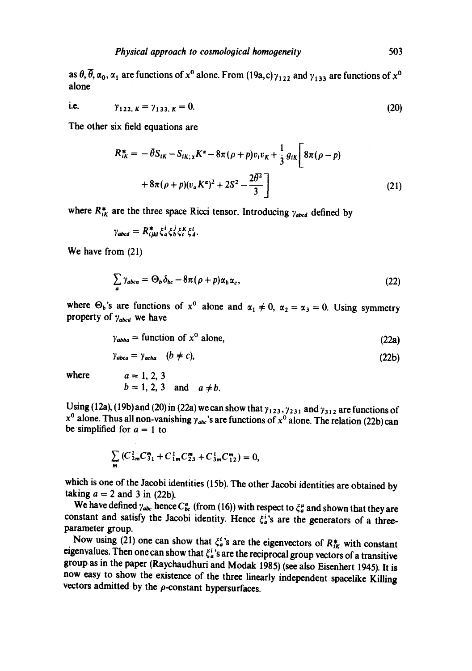as  $\theta$ ,  $\overline{\theta}$ ,  $\alpha_0$ ,  $\alpha_1$  are functions of  $x^0$  alone. From (19a, c)  $\gamma_{122}$  and  $\gamma_{133}$  are functions of  $x^0$ alone

i.e. 
$$
\gamma_{122, K} = \gamma_{133, K} = 0.
$$
 (20)

The other six field equations are

$$
R_{ik}^{*} = -\bar{\theta}S_{ik} - S_{ik;x}K^{\alpha} - 8\pi(\rho + p)v_{i}v_{k} + \frac{1}{3}g_{ik}\left[8\pi(\rho - p) + 8\pi(\rho + p)(v_{\alpha}K^{\alpha})^{2} + 2S^{2} - \frac{2\bar{\theta}^{2}}{3}\right]
$$
\n(21)

where  $R_{ik}^{*}$  are the three space Ricci tensor. Introducing  $\gamma_{abcd}$  defined by

$$
\gamma_{abcd} = R_{ijkl}^* \xi_a^i \xi_b^j \xi_c^k \xi_d^l.
$$

We have from (21)

$$
\sum_{a} \gamma_{abca} = \Theta_b \delta_{bc} - 8\pi (\rho + p) \alpha_b \alpha_c, \qquad (22)
$$

where  $\Theta_b$ 's are functions of  $x^0$  alone and  $\alpha_1 \neq 0$ ,  $\alpha_2 = \alpha_3 = 0$ . Using symmetry property of  $\gamma_{abcd}$  we have

$$
\gamma_{abba} = \text{function of } x^{\text{o}} \text{ alone},\tag{22a}
$$

$$
\gamma_{abca} = \gamma_{acba} \quad (b \neq c), \tag{22b}
$$

where  $a = 1, 2, 3$ 

$$
b=1, 2, 3 \quad \text{and} \quad a \neq b.
$$

Using (12a), (19b) and (20) in (22a) we can show that  $\gamma_{123}$ ,  $\gamma_{231}$  and  $\gamma_{312}$  are functions of  $x^0$  alone. Thus all non-vanishing  $\gamma_{abc}$ 's are functions of  $x^0$  alone. The relation (22b) can be simplified for  $a = 1$  to

$$
\sum_{m} \left( C_{2m}^{1} C_{31}^{m} + C_{1m}^{1} C_{23}^{m} + C_{3m}^{1} C_{12}^{m} \right) = 0,
$$

which is one of the Jacobi identities (15b). The other Jacobi identities are obtained by taking  $a = 2$  and 3 in (22b).

We have defined  $\gamma_{abc}$  hence  $C_{bc}^a$  (from (16)) with respect to  $\zeta_a^{\mu}$  and shown that they are constant and satisfy the Jacobi identity. Hence  $\xi_a^i$ 's are the generators of a threeparameter group.

Now using (21) one can show that  $\xi_a^i$ 's are the eigenvectors of  $R^*_{ik}$  with constant eigenvalues. Then one can show that  $\xi_a^i$ 's are the reciprocal group vectors of a transitive groupas in the paper (Raychaudhuri and Modak 1985) (see also Eisenhert 1945). It is now easy to show the existence of the three linearly independent spacelike Killing vectors admitted by the  $\rho$ -constant hypersurfaces.